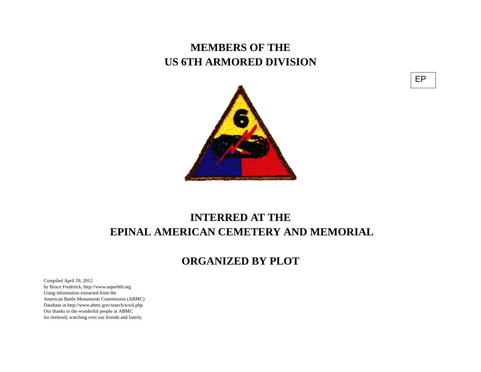## **MEMBERS OF THE US 6TH ARMORED DIVISION**



## **INTERRED AT THE EPINAL AMERICAN CEMETERY AND MEMORIAL**

## **ORGANIZED BY PLOT**

Compiled April 29, 2012 by Bruce Frederick, http://www.super6th.orgUsing information extracted from the American Battle Monuments Commission (ABMC) Database at http://www.abmc.gov/search/wwii.phpOur thanks to the wonderful people at ABMC for tirelessly watching over our friends and family.

EP